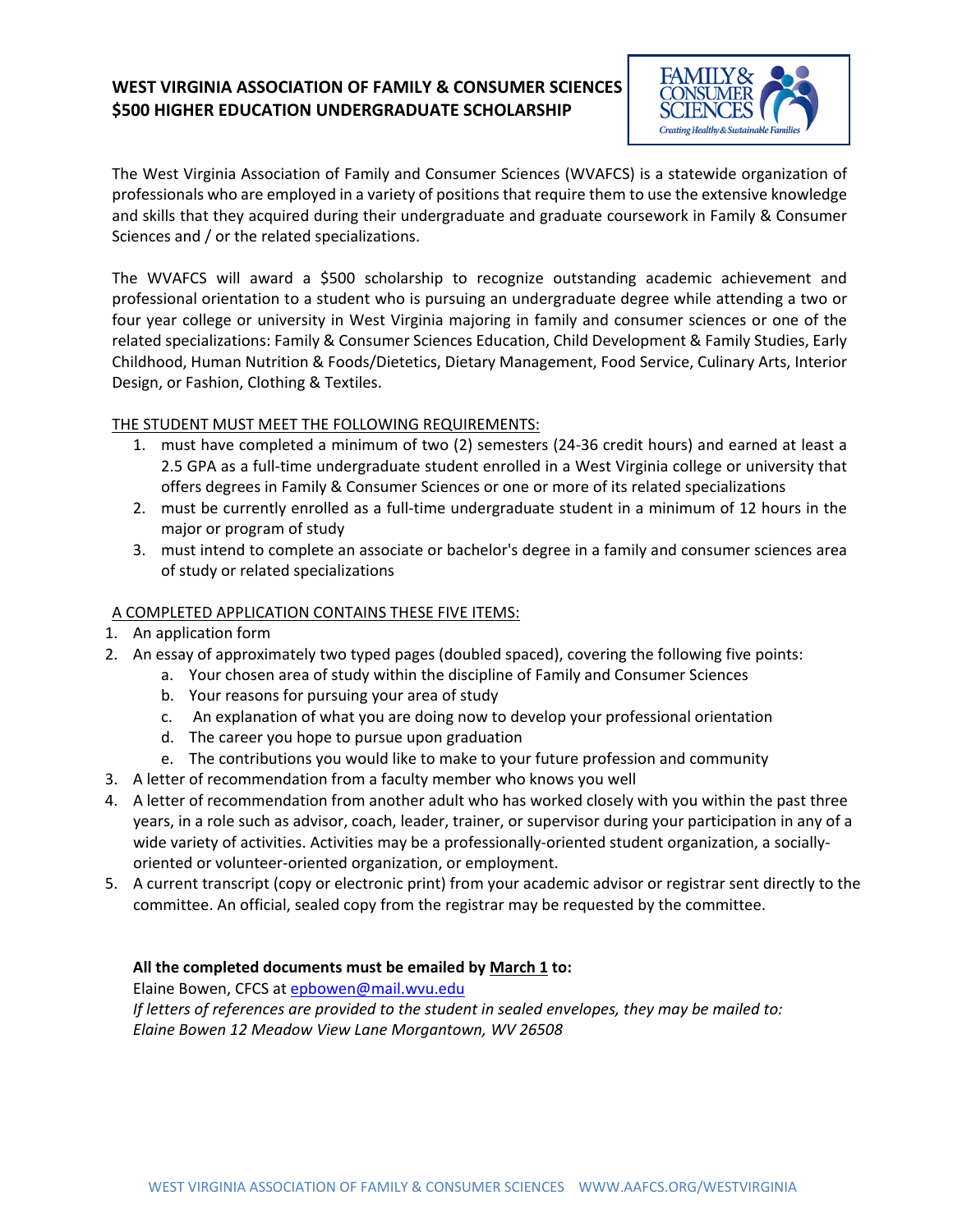# **WEST VIRGINIA ASSOCIATION OF FAMILY & CONSUMER SCIENCES \$500 HIGHER EDUCATION UNDERGRADUATE SCHOLARSHIP**



The West Virginia Association of Family and Consumer Sciences (WVAFCS) is a statewide organization of professionals who are employed in a variety of positions that require them to use the extensive knowledge and skills that they acquired during their undergraduate and graduate coursework in Family & Consumer Sciences and / or the related specializations.

The WVAFCS will award a \$500 scholarship to recognize outstanding academic achievement and professional orientation to a student who is pursuing an undergraduate degree while attending a two or four year college or university in West Virginia majoring in family and consumer sciences or one of the related specializations: Family & Consumer Sciences Education, Child Development & Family Studies, Early Childhood, Human Nutrition & Foods/Dietetics, Dietary Management, Food Service, Culinary Arts, Interior Design, or Fashion, Clothing & Textiles.

## THE STUDENT MUST MEET THE FOLLOWING REQUIREMENTS:

- 1. must have completed a minimum of two (2) semesters (24-36 credit hours) and earned at least a 2.5 GPA as a full-time undergraduate student enrolled in a West Virginia college or university that offers degrees in Family & Consumer Sciences or one or more of its related specializations
- 2. must be currently enrolled as a full-time undergraduate student in a minimum of 12 hours in the major or program of study
- 3. must intend to complete an associate or bachelor's degree in a family and consumer sciences area of study or related specializations

## A COMPLETED APPLICATION CONTAINS THESE FIVE ITEMS:

- 1. An application form
- 2. An essay of approximately two typed pages (doubled spaced), covering the following five points:
	- a. Your chosen area of study within the discipline of Family and Consumer Sciences
	- b. Your reasons for pursuing your area of study
	- c. An explanation of what you are doing now to develop your professional orientation
	- d. The career you hope to pursue upon graduation
	- e. The contributions you would like to make to your future profession and community
- 3. A letter of recommendation from a faculty member who knows you well
- 4. A letter of recommendation from another adult who has worked closely with you within the past three years, in a role such as advisor, coach, leader, trainer, or supervisor during your participation in any of a wide variety of activities. Activities may be a professionally-oriented student organization, a sociallyoriented or volunteer-oriented organization, or employment.
- 5. A current transcript (copy or electronic print) from your academic advisor or registrar sent directly to the committee. An official, sealed copy from the registrar may be requested by the committee.

## **All the completed documents must be emailed by March 1 to:**

Elaine Bowen, CFCS at [epbowen@mail.wvu.edu](mailto:epbowen@mail.wvu.edu)  *If letters of references are provided to the student in sealed envelopes, they may be mailed to: Elaine Bowen 12 Meadow View Lane Morgantown, WV 26508*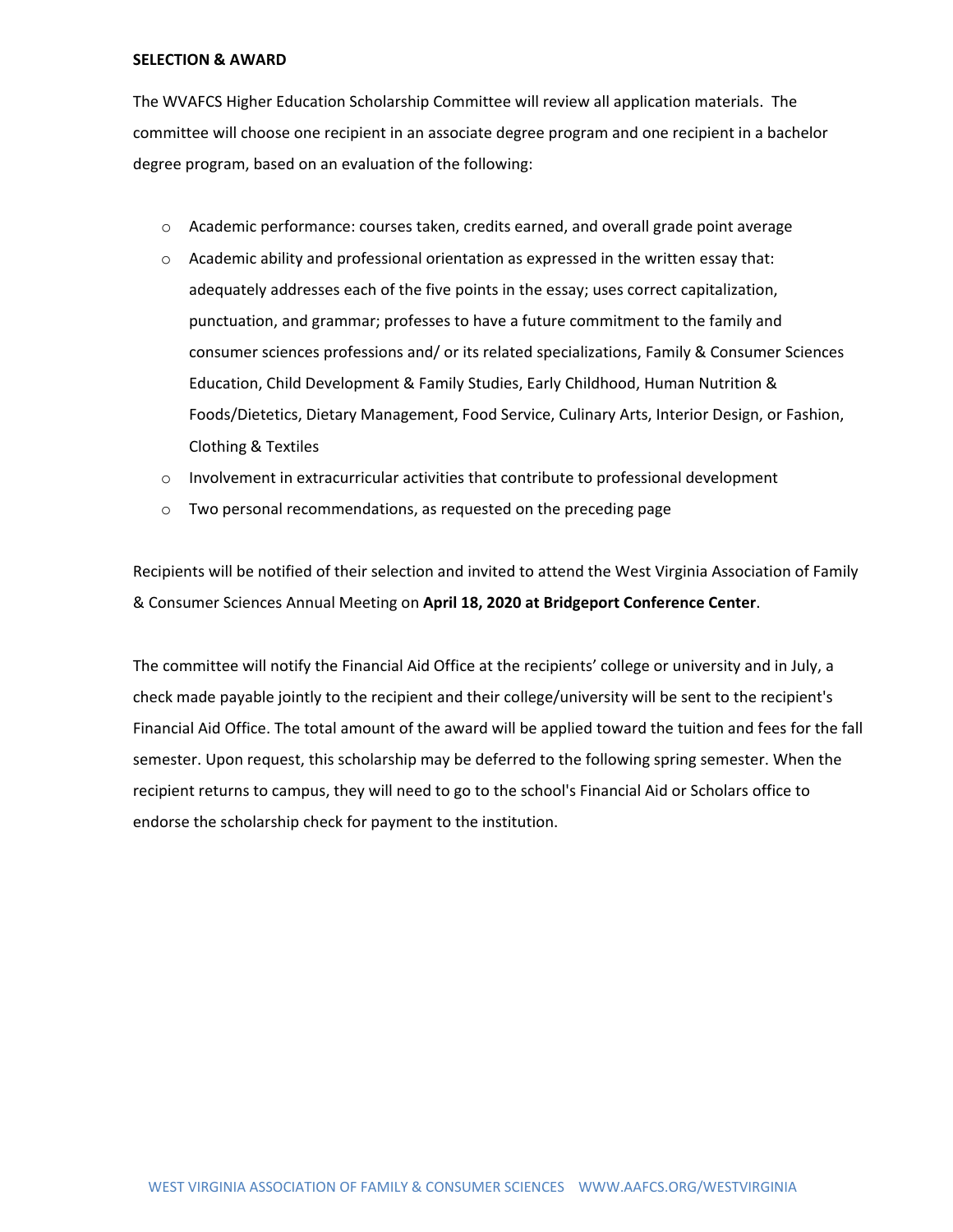#### **SELECTION & AWARD**

The WVAFCS Higher Education Scholarship Committee will review all application materials. The committee will choose one recipient in an associate degree program and one recipient in a bachelor degree program, based on an evaluation of the following:

- o Academic performance: courses taken, credits earned, and overall grade point average
- $\circ$  Academic ability and professional orientation as expressed in the written essay that: adequately addresses each of the five points in the essay; uses correct capitalization, punctuation, and grammar; professes to have a future commitment to the family and consumer sciences professions and/ or its related specializations, Family & Consumer Sciences Education, Child Development & Family Studies, Early Childhood, Human Nutrition & Foods/Dietetics, Dietary Management, Food Service, Culinary Arts, Interior Design, or Fashion, Clothing & Textiles
- $\circ$  Involvement in extracurricular activities that contribute to professional development
- $\circ$  Two personal recommendations, as requested on the preceding page

Recipients will be notified of their selection and invited to attend the West Virginia Association of Family & Consumer Sciences Annual Meeting on **April 18, 2020 at Bridgeport Conference Center**.

The committee will notify the Financial Aid Office at the recipients' college or university and in July, a check made payable jointly to the recipient and their college/university will be sent to the recipient's Financial Aid Office. The total amount of the award will be applied toward the tuition and fees for the fall semester. Upon request, this scholarship may be deferred to the following spring semester. When the recipient returns to campus, they will need to go to the school's Financial Aid or Scholars office to endorse the scholarship check for payment to the institution.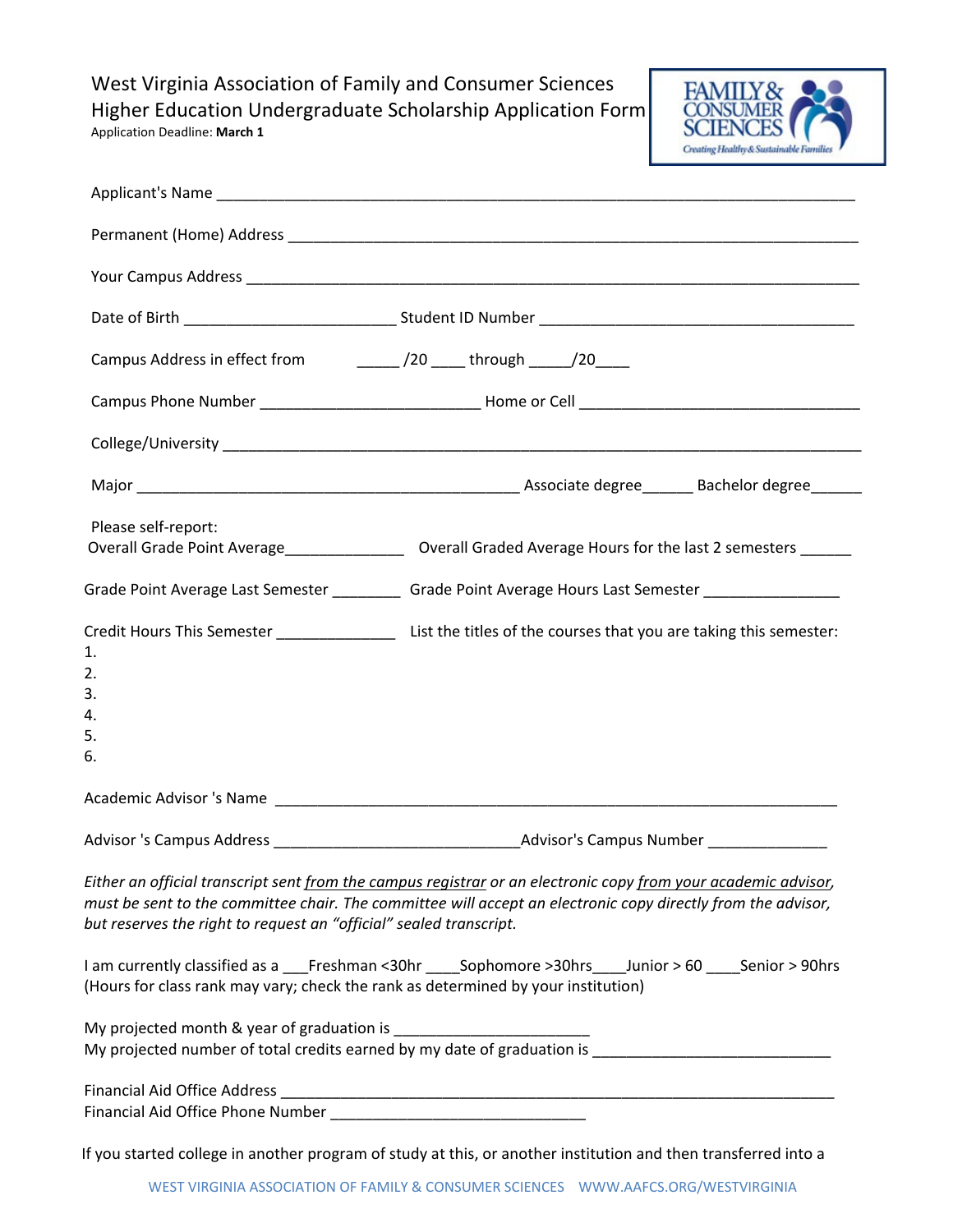West Virginia Association of Family and Consumer Sciences Higher Education Undergraduate Scholarship Application Form



| Application Deadline: March 1 |  |  |  |
|-------------------------------|--|--|--|
|-------------------------------|--|--|--|

| Campus Address in effect from ______________/20 ______ through ______/20______    |                                                                                                                                                                                                                                |
|-----------------------------------------------------------------------------------|--------------------------------------------------------------------------------------------------------------------------------------------------------------------------------------------------------------------------------|
|                                                                                   |                                                                                                                                                                                                                                |
|                                                                                   |                                                                                                                                                                                                                                |
|                                                                                   |                                                                                                                                                                                                                                |
| Please self-report:                                                               | Overall Grade Point Average___________________ Overall Graded Average Hours for the last 2 semesters ______                                                                                                                    |
|                                                                                   | Grade Point Average Last Semester ___________ Grade Point Average Hours Last Semester ______________                                                                                                                           |
| 1.<br>2.<br>3.<br>4.<br>5.<br>6.                                                  | Credit Hours This Semester ______________________ List the titles of the courses that you are taking this semester:                                                                                                            |
|                                                                                   |                                                                                                                                                                                                                                |
|                                                                                   |                                                                                                                                                                                                                                |
| but reserves the right to request an "official" sealed transcript.                | Either an official transcript sent from the campus registrar or an electronic copy from your academic advisor,<br>must be sent to the committee chair. The committee will accept an electronic copy directly from the advisor, |
| (Hours for class rank may vary; check the rank as determined by your institution) | I am currently classified as a Freshman <30hr Sophomore >30hrs Junior >60 Senior >90hrs                                                                                                                                        |
|                                                                                   |                                                                                                                                                                                                                                |
|                                                                                   |                                                                                                                                                                                                                                |
|                                                                                   | If you started college in another program of study at this, or another institution and then transferred into a                                                                                                                 |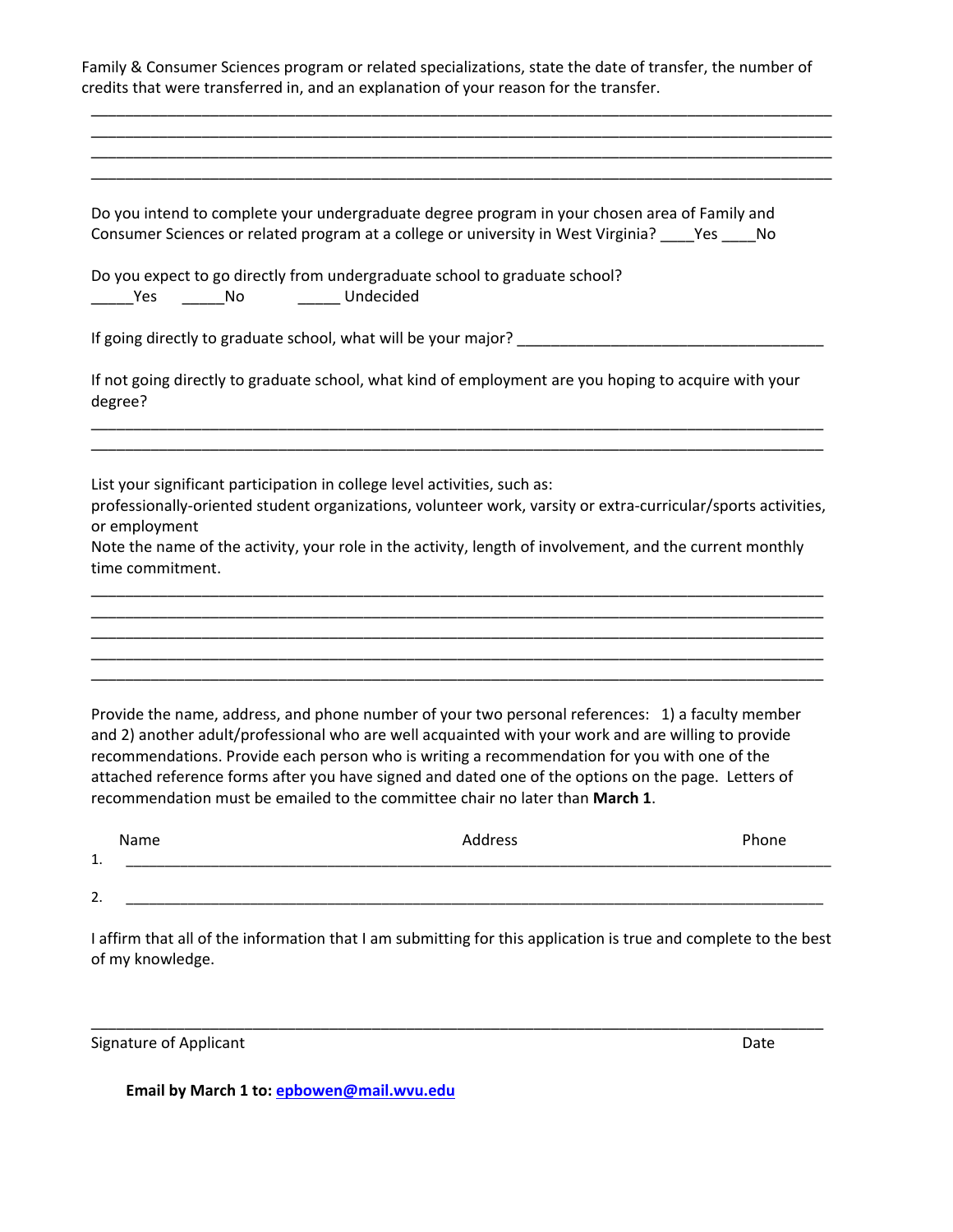|                                   | Do you intend to complete your undergraduate degree program in your chosen area of Family and<br>Consumer Sciences or related program at a college or university in West Virginia? ____ Yes ____ No                                                                                                                                                                                                                                                                                            |       |
|-----------------------------------|------------------------------------------------------------------------------------------------------------------------------------------------------------------------------------------------------------------------------------------------------------------------------------------------------------------------------------------------------------------------------------------------------------------------------------------------------------------------------------------------|-------|
|                                   | Do you expect to go directly from undergraduate school to graduate school?                                                                                                                                                                                                                                                                                                                                                                                                                     |       |
|                                   |                                                                                                                                                                                                                                                                                                                                                                                                                                                                                                |       |
| degree?                           | If not going directly to graduate school, what kind of employment are you hoping to acquire with your                                                                                                                                                                                                                                                                                                                                                                                          |       |
| or employment<br>time commitment. | List your significant participation in college level activities, such as:<br>professionally-oriented student organizations, volunteer work, varsity or extra-curricular/sports activities,<br>Note the name of the activity, your role in the activity, length of involvement, and the current monthly                                                                                                                                                                                         |       |
|                                   |                                                                                                                                                                                                                                                                                                                                                                                                                                                                                                |       |
|                                   | Provide the name, address, and phone number of your two personal references: 1) a faculty member<br>and 2) another adult/professional who are well acquainted with your work and are willing to provide<br>recommendations. Provide each person who is writing a recommendation for you with one of the<br>attached reference forms after you have signed and dated one of the options on the page. Letters of<br>recommendation must be emailed to the committee chair no later than March 1. |       |
| Name                              | Address                                                                                                                                                                                                                                                                                                                                                                                                                                                                                        | Phone |
| 1.                                |                                                                                                                                                                                                                                                                                                                                                                                                                                                                                                |       |

I affirm that all of the information that I am submitting for this application is true and complete to the best of my knowledge.

\_\_\_\_\_\_\_\_\_\_\_\_\_\_\_\_\_\_\_\_\_\_\_\_\_\_\_\_\_\_\_\_\_\_\_\_\_\_\_\_\_\_\_\_\_\_\_\_\_\_\_\_\_\_\_\_\_\_\_\_\_\_\_\_\_\_\_\_\_\_\_\_\_\_\_\_\_\_\_\_\_\_\_\_\_\_

Signature of Applicant Date

**Email by March 1 to: [epbowen@mail.wvu.edu](mailto:epbowen@mail.wvu.edu)**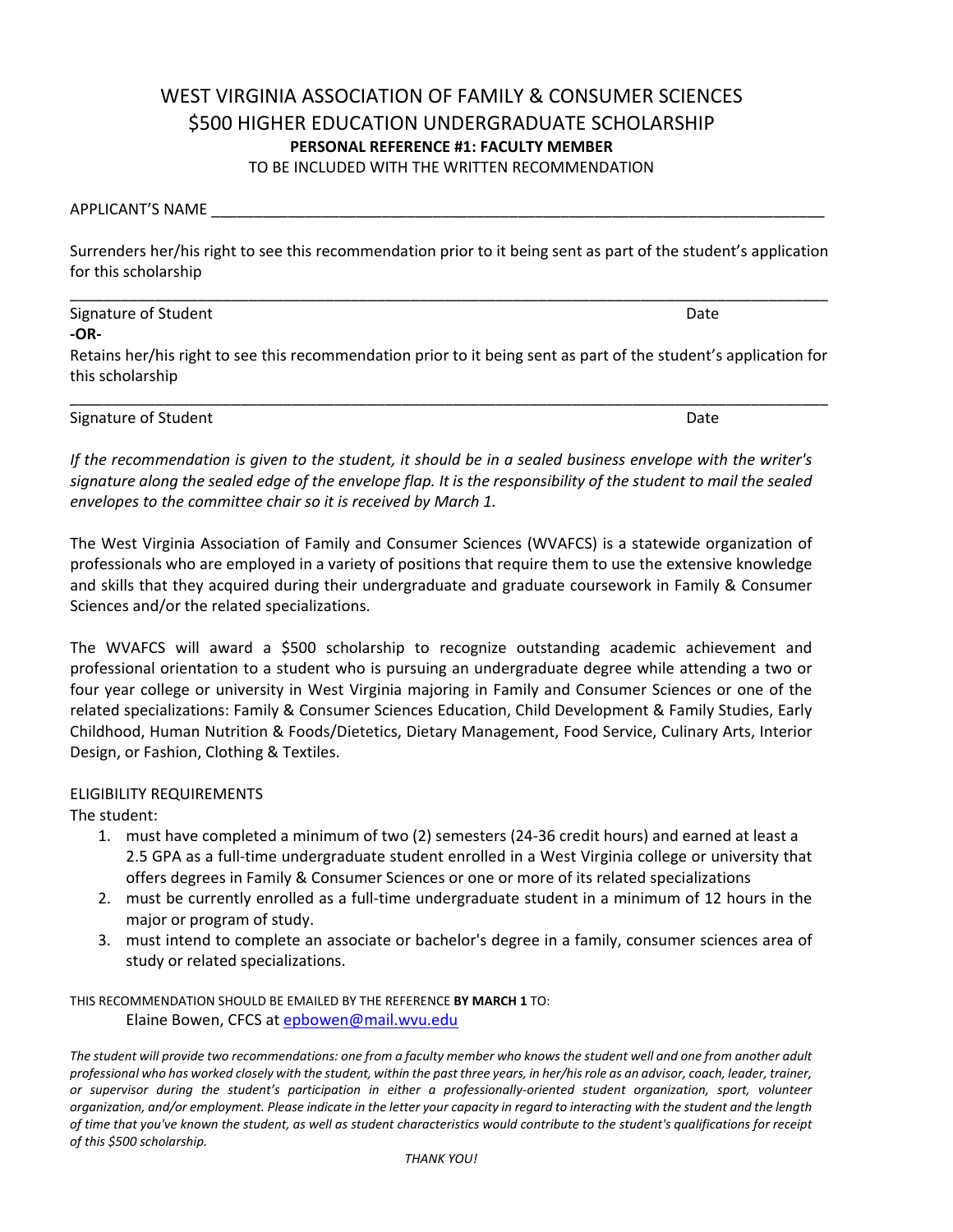# WEST VIRGINIA ASSOCIATION OF FAMILY & CONSUMER SCIENCES \$500 HIGHER EDUCATION UNDERGRADUATE SCHOLARSHIP **PERSONAL REFERENCE #1: FACULTY MEMBER**

TO BE INCLUDED WITH THE WRITTEN RECOMMENDATION

APPLICANT'S NAME \_\_\_\_\_\_\_\_\_\_\_\_\_\_\_\_\_\_\_\_\_\_\_\_\_\_\_\_\_\_\_\_\_\_\_\_\_\_\_\_\_\_\_\_\_\_\_\_\_\_\_\_\_\_\_\_\_\_\_\_\_\_\_\_\_\_\_\_\_\_\_\_

Surrenders her/his right to see this recommendation prior to it being sent as part of the student's application for this scholarship

**-OR-**Retains her/his right to see this recommendation prior to it being sent as part of the student's application for this scholarship

\_\_\_\_\_\_\_\_\_\_\_\_\_\_\_\_\_\_\_\_\_\_\_\_\_\_\_\_\_\_\_\_\_\_\_\_\_\_\_\_\_\_\_\_\_\_\_\_\_\_\_\_\_\_\_\_\_\_\_\_\_\_\_\_\_\_\_\_\_\_\_\_\_\_\_\_\_\_\_\_\_\_\_\_\_\_\_\_\_

Signature of Student **Date** 

*If the recommendation is given to the student, it should be in a sealed business envelope with the writer's signature along the sealed edge of the envelope flap. It is the responsibility of the student to mail the sealed envelopes to the committee chair so it is received by March 1.*

The West Virginia Association of Family and Consumer Sciences (WVAFCS) is a statewide organization of professionals who are employed in a variety of positions that require them to use the extensive knowledge and skills that they acquired during their undergraduate and graduate coursework in Family & Consumer Sciences and/or the related specializations.

The WVAFCS will award a \$500 scholarship to recognize outstanding academic achievement and professional orientation to a student who is pursuing an undergraduate degree while attending a two or four year college or university in West Virginia majoring in Family and Consumer Sciences or one of the related specializations: Family & Consumer Sciences Education, Child Development & Family Studies, Early Childhood, Human Nutrition & Foods/Dietetics, Dietary Management, Food Service, Culinary Arts, Interior Design, or Fashion, Clothing & Textiles.

### ELIGIBILITY REQUIREMENTS

The student:

- 1. must have completed a minimum of two (2) semesters (24-36 credit hours) and earned at least a 2.5 GPA as a full-time undergraduate student enrolled in a West Virginia college or university that offers degrees in Family & Consumer Sciences or one or more of its related specializations
- 2. must be currently enrolled as a full-time undergraduate student in a minimum of 12 hours in the major or program of study.
- 3. must intend to complete an associate or bachelor's degree in a family, consumer sciences area of study or related specializations.

THIS RECOMMENDATION SHOULD BE EMAILED BY THE REFERENCE **BY MARCH 1** TO: Elaine Bowen, CFCS at [epbowen@mail.wvu.edu](mailto:epbowen@mail.wvu.edu) 

*The student will provide two recommendations: one from a faculty member who knows the student well and one from another adult professional who has worked closely with the student, within the past three years, in her/his role as an advisor, coach, leader, trainer, or supervisor during the student's participation in either a professionally-oriented student organization, sport, volunteer organization, and/or employment. Please indicate in the letter your capacity in regard to interacting with the student and the length of time that you've known the student, as well as student characteristics would contribute to the student's qualifications for receipt of this \$500 scholarship.* 

\_\_\_\_\_\_\_\_\_\_\_\_\_\_\_\_\_\_\_\_\_\_\_\_\_\_\_\_\_\_\_\_\_\_\_\_\_\_\_\_\_\_\_\_\_\_\_\_\_\_\_\_\_\_\_\_\_\_\_\_\_\_\_\_\_\_\_\_\_\_\_\_\_\_\_\_\_\_\_\_\_\_\_\_\_\_\_\_\_ Signature of Student Date Communications and Date Communications of Student Date Communications and Date Communications of Date Communications and Date Communications and Date Communications and Date Communications and Dat